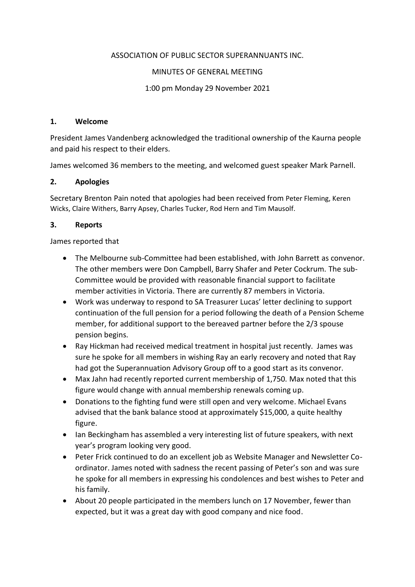## ASSOCIATION OF PUBLIC SECTOR SUPERANNUANTS INC.

#### MINUTES OF GENERAL MEETING

## 1:00 pm Monday 29 November 2021

#### **1. Welcome**

President James Vandenberg acknowledged the traditional ownership of the Kaurna people and paid his respect to their elders.

James welcomed 36 members to the meeting, and welcomed guest speaker Mark Parnell.

## **2. Apologies**

Secretary Brenton Pain noted that apologies had been received from Peter Fleming, Keren Wicks, Claire Withers, Barry Apsey, Charles Tucker, Rod Hern and Tim Mausolf.

## **3. Reports**

James reported that

- The Melbourne sub-Committee had been established, with John Barrett as convenor. The other members were Don Campbell, Barry Shafer and Peter Cockrum. The sub-Committee would be provided with reasonable financial support to facilitate member activities in Victoria. There are currently 87 members in Victoria.
- Work was underway to respond to SA Treasurer Lucas' letter declining to support continuation of the full pension for a period following the death of a Pension Scheme member, for additional support to the bereaved partner before the 2/3 spouse pension begins.
- Ray Hickman had received medical treatment in hospital just recently. James was sure he spoke for all members in wishing Ray an early recovery and noted that Ray had got the Superannuation Advisory Group off to a good start as its convenor.
- Max Jahn had recently reported current membership of 1,750. Max noted that this figure would change with annual membership renewals coming up.
- Donations to the fighting fund were still open and very welcome. Michael Evans advised that the bank balance stood at approximately \$15,000, a quite healthy figure.
- Ian Beckingham has assembled a very interesting list of future speakers, with next year's program looking very good.
- Peter Frick continued to do an excellent job as Website Manager and Newsletter Coordinator. James noted with sadness the recent passing of Peter's son and was sure he spoke for all members in expressing his condolences and best wishes to Peter and his family.
- About 20 people participated in the members lunch on 17 November, fewer than expected, but it was a great day with good company and nice food.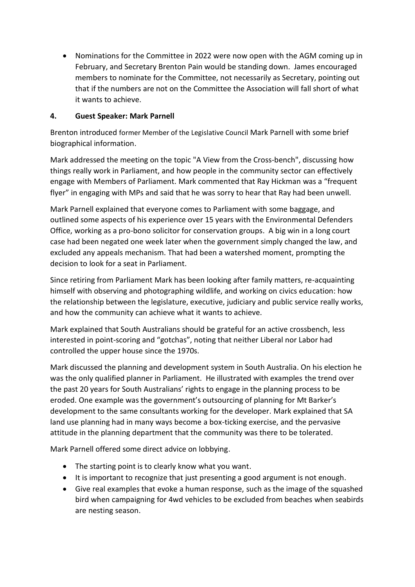Nominations for the Committee in 2022 were now open with the AGM coming up in February, and Secretary Brenton Pain would be standing down. James encouraged members to nominate for the Committee, not necessarily as Secretary, pointing out that if the numbers are not on the Committee the Association will fall short of what it wants to achieve.

# **4. Guest Speaker: Mark Parnell**

Brenton introduced former Member of the Legislative Council Mark Parnell with some brief biographical information.

Mark addressed the meeting on the topic "A View from the Cross-bench", discussing how things really work in Parliament, and how people in the community sector can effectively engage with Members of Parliament. Mark commented that Ray Hickman was a "frequent flyer" in engaging with MPs and said that he was sorry to hear that Ray had been unwell.

Mark Parnell explained that everyone comes to Parliament with some baggage, and outlined some aspects of his experience over 15 years with the Environmental Defenders Office, working as a pro-bono solicitor for conservation groups. A big win in a long court case had been negated one week later when the government simply changed the law, and excluded any appeals mechanism. That had been a watershed moment, prompting the decision to look for a seat in Parliament.

Since retiring from Parliament Mark has been looking after family matters, re-acquainting himself with observing and photographing wildlife, and working on civics education: how the relationship between the legislature, executive, judiciary and public service really works, and how the community can achieve what it wants to achieve.

Mark explained that South Australians should be grateful for an active crossbench, less interested in point-scoring and "gotchas", noting that neither Liberal nor Labor had controlled the upper house since the 1970s.

Mark discussed the planning and development system in South Australia. On his election he was the only qualified planner in Parliament. He illustrated with examples the trend over the past 20 years for South Australians' rights to engage in the planning process to be eroded. One example was the government's outsourcing of planning for Mt Barker's development to the same consultants working for the developer. Mark explained that SA land use planning had in many ways become a box-ticking exercise, and the pervasive attitude in the planning department that the community was there to be tolerated.

Mark Parnell offered some direct advice on lobbying.

- The starting point is to clearly know what you want.
- It is important to recognize that just presenting a good argument is not enough.
- Give real examples that evoke a human response, such as the image of the squashed bird when campaigning for 4wd vehicles to be excluded from beaches when seabirds are nesting season.